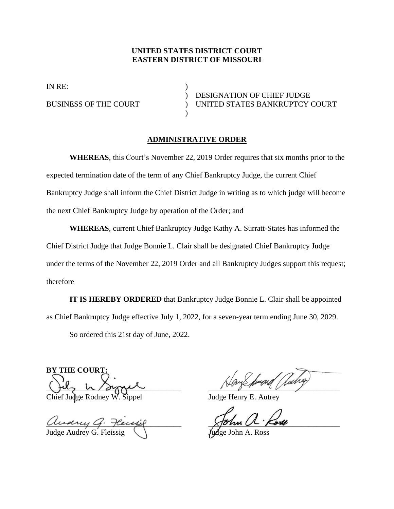## **UNITED STATES DISTRICT COURT EASTERN DISTRICT OF MISSOURI**

IN RE:

) DESIGNATION OF CHIEF JUDGE BUSINESS OF THE COURT ) UNITED STATES BANKRUPTCY COURT

## **ADMINISTRATIVE ORDER**

)

**WHEREAS**, this Court's November 22, 2019 Order requires that six months prior to the expected termination date of the term of any Chief Bankruptcy Judge, the current Chief Bankruptcy Judge shall inform the Chief District Judge in writing as to which judge will become the next Chief Bankruptcy Judge by operation of the Order; and

**WHEREAS**, current Chief Bankruptcy Judge Kathy A. Surratt-States has informed the Chief District Judge that Judge Bonnie L. Clair shall be designated Chief Bankruptcy Judge under the terms of the November 22, 2019 Order and all Bankruptcy Judges support this request; therefore

**IT IS HEREBY ORDERED** that Bankruptcy Judge Bonnie L. Clair shall be appointed as Chief Bankruptcy Judge effective July 1, 2022, for a seven-year term ending June 30, 2029.

So ordered this 21st day of June, 2022.

**BY THE COURT:**  $\frac{1}{2}$ 

Chief Judge Rodney W. Sippel Judge Henry E. Autrey

and the contract of the state of the contract of the contract of the contract of the contract of the contract of the contract of the contract of the contract of the contract of the contract of the contract of the contract Judge Audrey G. Fl